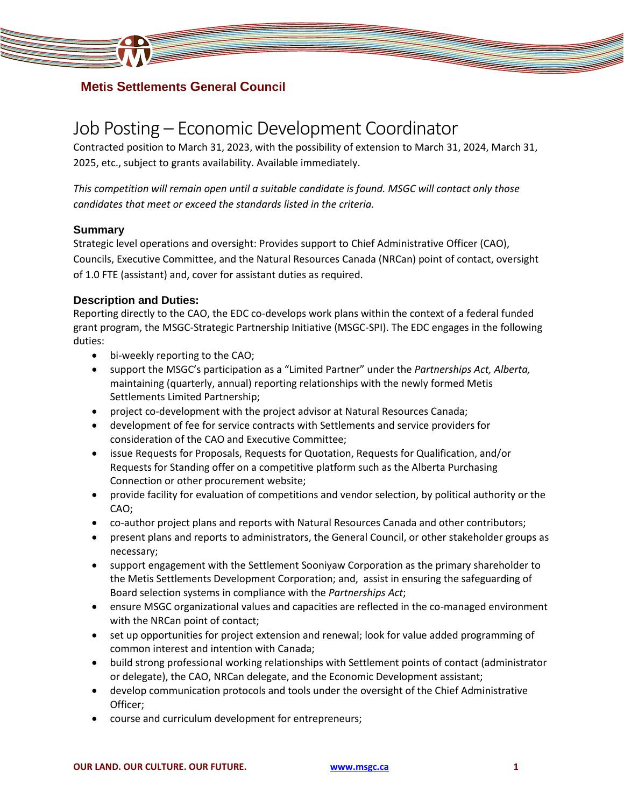

### **Metis Settlements General Council**

# Job Posting – Economic Development Coordinator

Contracted position to March 31, 2023, with the possibility of extension to March 31, 2024, March 31, 2025, etc., subject to grants availability. Available immediately.

*This competition will remain open until a suitable candidate is found. MSGC will contact only those candidates that meet or exceed the standards listed in the criteria.* 

### **Summary**

Strategic level operations and oversight: Provides support to Chief Administrative Officer (CAO), Councils, Executive Committee, and the Natural Resources Canada (NRCan) point of contact, oversight of 1.0 FTE (assistant) and, cover for assistant duties as required.

### **Description and Duties:**

Reporting directly to the CAO, the EDC co-develops work plans within the context of a federal funded grant program, the MSGC-Strategic Partnership Initiative (MSGC-SPI). The EDC engages in the following duties:

- bi-weekly reporting to the CAO;
- support the MSGC's participation as a "Limited Partner" under the *Partnerships Act, Alberta,*  maintaining (quarterly, annual) reporting relationships with the newly formed Metis Settlements Limited Partnership;
- project co-development with the project advisor at Natural Resources Canada;
- development of fee for service contracts with Settlements and service providers for consideration of the CAO and Executive Committee;
- issue Requests for Proposals, Requests for Quotation, Requests for Qualification, and/or Requests for Standing offer on a competitive platform such as the Alberta Purchasing Connection or other procurement website;
- provide facility for evaluation of competitions and vendor selection, by political authority or the CAO;
- co-author project plans and reports with Natural Resources Canada and other contributors;
- present plans and reports to administrators, the General Council, or other stakeholder groups as necessary;
- support engagement with the Settlement Sooniyaw Corporation as the primary shareholder to the Metis Settlements Development Corporation; and, assist in ensuring the safeguarding of Board selection systems in compliance with the *Partnerships Act*;
- ensure MSGC organizational values and capacities are reflected in the co-managed environment with the NRCan point of contact;
- set up opportunities for project extension and renewal; look for value added programming of common interest and intention with Canada;
- build strong professional working relationships with Settlement points of contact (administrator or delegate), the CAO, NRCan delegate, and the Economic Development assistant;
- develop communication protocols and tools under the oversight of the Chief Administrative Officer;
- course and curriculum development for entrepreneurs;